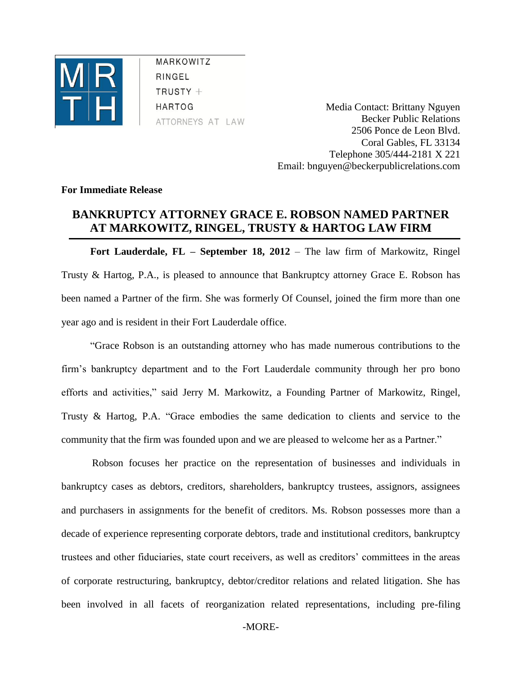

MARKOWITZ RINGEL  $TRUSTY +$ **HARTOG** ATTORNEYS AT LAW

Media Contact: Brittany Nguyen Becker Public Relations 2506 Ponce de Leon Blvd. Coral Gables, FL 33134 Telephone 305/444-2181 X 221 Email: bnguyen@beckerpublicrelations.com

## **For Immediate Release**

## **BANKRUPTCY ATTORNEY GRACE E. ROBSON NAMED PARTNER AT MARKOWITZ, RINGEL, TRUSTY & HARTOG LAW FIRM**

**Fort Lauderdale, FL – September 18, 2012** – The law firm of Markowitz, Ringel Trusty & Hartog, P.A., is pleased to announce that Bankruptcy attorney Grace E. Robson has been named a Partner of the firm. She was formerly Of Counsel, joined the firm more than one year ago and is resident in their Fort Lauderdale office.

"Grace Robson is an outstanding attorney who has made numerous contributions to the firm's bankruptcy department and to the Fort Lauderdale community through her pro bono efforts and activities," said Jerry M. Markowitz, a Founding Partner of Markowitz, Ringel, Trusty & Hartog, P.A. "Grace embodies the same dedication to clients and service to the community that the firm was founded upon and we are pleased to welcome her as a Partner."

Robson focuses her practice on the representation of businesses and individuals in bankruptcy cases as debtors, creditors, shareholders, bankruptcy trustees, assignors, assignees and purchasers in assignments for the benefit of creditors. Ms. Robson possesses more than a decade of experience representing corporate debtors, trade and institutional creditors, bankruptcy trustees and other fiduciaries, state court receivers, as well as creditors' committees in the areas of corporate restructuring, bankruptcy, debtor/creditor relations and related litigation. She has been involved in all facets of reorganization related representations, including pre-filing